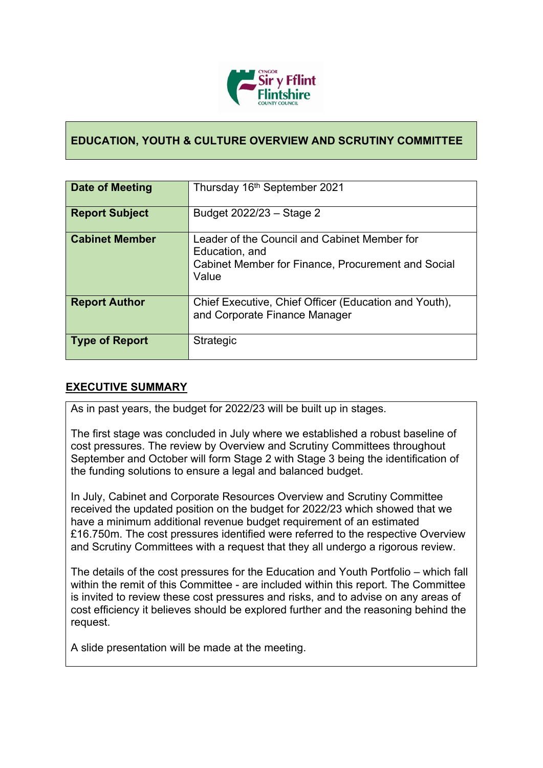

## **EDUCATION, YOUTH & CULTURE OVERVIEW AND SCRUTINY COMMITTEE**

| Date of Meeting       | Thursday 16 <sup>th</sup> September 2021                                                                                      |
|-----------------------|-------------------------------------------------------------------------------------------------------------------------------|
| <b>Report Subject</b> | Budget 2022/23 - Stage 2                                                                                                      |
| <b>Cabinet Member</b> | Leader of the Council and Cabinet Member for<br>Education, and<br>Cabinet Member for Finance, Procurement and Social<br>Value |
| <b>Report Author</b>  | Chief Executive, Chief Officer (Education and Youth),<br>and Corporate Finance Manager                                        |
| <b>Type of Report</b> | Strategic                                                                                                                     |

### **EXECUTIVE SUMMARY**

As in past years, the budget for 2022/23 will be built up in stages.

The first stage was concluded in July where we established a robust baseline of cost pressures. The review by Overview and Scrutiny Committees throughout September and October will form Stage 2 with Stage 3 being the identification of the funding solutions to ensure a legal and balanced budget.

In July, Cabinet and Corporate Resources Overview and Scrutiny Committee received the updated position on the budget for 2022/23 which showed that we have a minimum additional revenue budget requirement of an estimated £16.750m. The cost pressures identified were referred to the respective Overview and Scrutiny Committees with a request that they all undergo a rigorous review.

The details of the cost pressures for the Education and Youth Portfolio – which fall within the remit of this Committee - are included within this report. The Committee is invited to review these cost pressures and risks, and to advise on any areas of cost efficiency it believes should be explored further and the reasoning behind the request.

A slide presentation will be made at the meeting.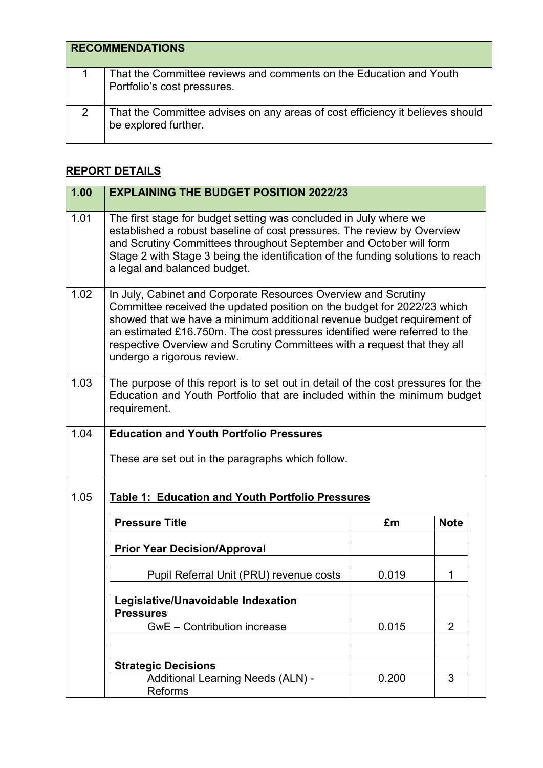| <b>RECOMMENDATIONS</b>                                                                                |
|-------------------------------------------------------------------------------------------------------|
| That the Committee reviews and comments on the Education and Youth<br>Portfolio's cost pressures.     |
| That the Committee advises on any areas of cost efficiency it believes should<br>be explored further. |

# **REPORT DETAILS**

| 1.00 | <b>EXPLAINING THE BUDGET POSITION 2022/23</b>                                                                                                                                                                                                                                                                                                                                                              |       |             |
|------|------------------------------------------------------------------------------------------------------------------------------------------------------------------------------------------------------------------------------------------------------------------------------------------------------------------------------------------------------------------------------------------------------------|-------|-------------|
| 1.01 | The first stage for budget setting was concluded in July where we<br>established a robust baseline of cost pressures. The review by Overview<br>and Scrutiny Committees throughout September and October will form<br>Stage 2 with Stage 3 being the identification of the funding solutions to reach<br>a legal and balanced budget.                                                                      |       |             |
| 1.02 | In July, Cabinet and Corporate Resources Overview and Scrutiny<br>Committee received the updated position on the budget for 2022/23 which<br>showed that we have a minimum additional revenue budget requirement of<br>an estimated £16.750m. The cost pressures identified were referred to the<br>respective Overview and Scrutiny Committees with a request that they all<br>undergo a rigorous review. |       |             |
| 1.03 | The purpose of this report is to set out in detail of the cost pressures for the<br>Education and Youth Portfolio that are included within the minimum budget<br>requirement.                                                                                                                                                                                                                              |       |             |
| 1.04 | <b>Education and Youth Portfolio Pressures</b>                                                                                                                                                                                                                                                                                                                                                             |       |             |
|      | These are set out in the paragraphs which follow.                                                                                                                                                                                                                                                                                                                                                          |       |             |
| 1.05 | <b>Table 1: Education and Youth Portfolio Pressures</b>                                                                                                                                                                                                                                                                                                                                                    |       |             |
|      | <b>Pressure Title</b>                                                                                                                                                                                                                                                                                                                                                                                      | £m    | <b>Note</b> |
|      |                                                                                                                                                                                                                                                                                                                                                                                                            |       |             |
|      | <b>Prior Year Decision/Approval</b>                                                                                                                                                                                                                                                                                                                                                                        |       |             |
|      | Pupil Referral Unit (PRU) revenue costs                                                                                                                                                                                                                                                                                                                                                                    | 0.019 | 1           |
|      | Legislative/Unavoidable Indexation<br><b>Pressures</b>                                                                                                                                                                                                                                                                                                                                                     |       |             |
|      | <b>GwE</b> - Contribution increase                                                                                                                                                                                                                                                                                                                                                                         | 0.015 | 2           |
|      |                                                                                                                                                                                                                                                                                                                                                                                                            |       |             |
|      | <b>Strategic Decisions</b><br><b>Additional Learning Needs (ALN) -</b>                                                                                                                                                                                                                                                                                                                                     | 0.200 | 3           |
|      | Reforms                                                                                                                                                                                                                                                                                                                                                                                                    |       |             |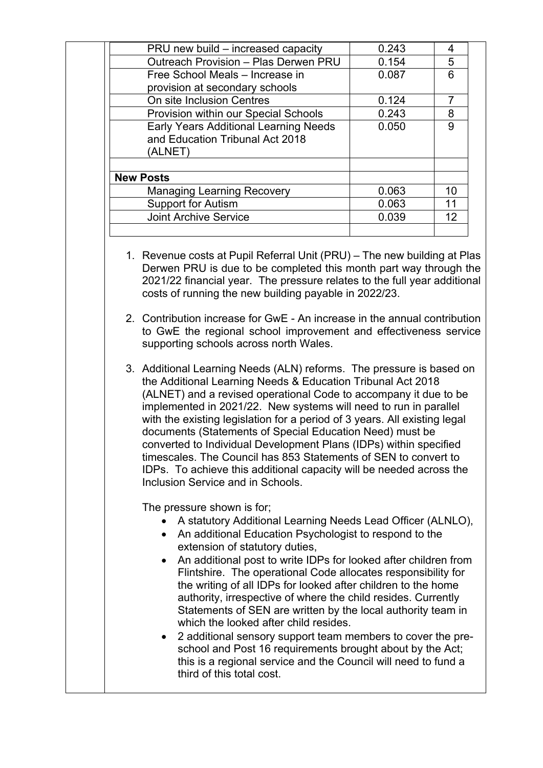| 0.243 |    |
|-------|----|
| 0.154 | 5  |
| 0.087 | ิค |
|       |    |
| 0.124 |    |
| 0.243 | 8  |
| 0.050 | 9  |
|       |    |
|       |    |
|       |    |
| 0.063 | 10 |
| 0.063 | 11 |
| 0.039 | 12 |
|       |    |

1. Revenue costs at Pupil Referral Unit (PRU) – The new building at Plas Derwen PRU is due to be completed this month part way through the 2021/22 financial year. The pressure relates to the full year additional costs of running the new building payable in 2022/23.

2. Contribution increase for GwE - An increase in the annual contribution to GwE the regional school improvement and effectiveness service supporting schools across north Wales.

3. Additional Learning Needs (ALN) reforms. The pressure is based on the Additional Learning Needs & Education Tribunal Act 2018 (ALNET) and a revised operational Code to accompany it due to be implemented in 2021/22. New systems will need to run in parallel with the existing legislation for a period of 3 years. All existing legal documents (Statements of Special Education Need) must be converted to Individual Development Plans (IDPs) within specified timescales. The Council has 853 Statements of SEN to convert to IDPs. To achieve this additional capacity will be needed across the Inclusion Service and in Schools.

The pressure shown is for;

- A statutory Additional Learning Needs Lead Officer (ALNLO),
- An additional Education Psychologist to respond to the extension of statutory duties,
- An additional post to write IDPs for looked after children from Flintshire. The operational Code allocates responsibility for the writing of all IDPs for looked after children to the home authority, irrespective of where the child resides. Currently Statements of SEN are written by the local authority team in which the looked after child resides.
- 2 additional sensory support team members to cover the preschool and Post 16 requirements brought about by the Act; this is a regional service and the Council will need to fund a third of this total cost.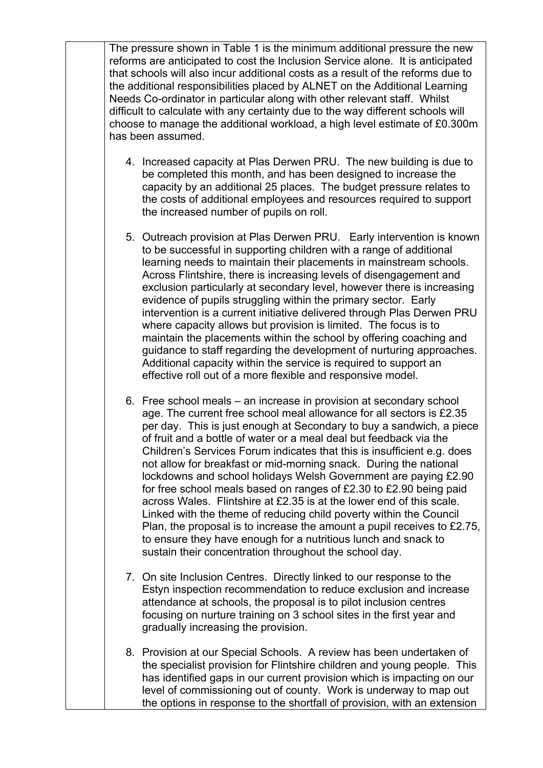The pressure shown in Table 1 is the minimum additional pressure the new reforms are anticipated to cost the Inclusion Service alone. It is anticipated that schools will also incur additional costs as a result of the reforms due to the additional responsibilities placed by ALNET on the Additional Learning Needs Co-ordinator in particular along with other relevant staff. Whilst difficult to calculate with any certainty due to the way different schools will choose to manage the additional workload, a high level estimate of £0.300m has been assumed.

- 4. Increased capacity at Plas Derwen PRU. The new building is due to be completed this month, and has been designed to increase the capacity by an additional 25 places. The budget pressure relates to the costs of additional employees and resources required to support the increased number of pupils on roll.
- 5. Outreach provision at Plas Derwen PRU. Early intervention is known to be successful in supporting children with a range of additional learning needs to maintain their placements in mainstream schools. Across Flintshire, there is increasing levels of disengagement and exclusion particularly at secondary level, however there is increasing evidence of pupils struggling within the primary sector. Early intervention is a current initiative delivered through Plas Derwen PRU where capacity allows but provision is limited. The focus is to maintain the placements within the school by offering coaching and guidance to staff regarding the development of nurturing approaches. Additional capacity within the service is required to support an effective roll out of a more flexible and responsive model.
- 6. Free school meals an increase in provision at secondary school age. The current free school meal allowance for all sectors is £2.35 per day. This is just enough at Secondary to buy a sandwich, a piece of fruit and a bottle of water or a meal deal but feedback via the Children's Services Forum indicates that this is insufficient e.g. does not allow for breakfast or mid-morning snack. During the national lockdowns and school holidays Welsh Government are paying £2.90 for free school meals based on ranges of £2.30 to £2.90 being paid across Wales. Flintshire at £2.35 is at the lower end of this scale. Linked with the theme of reducing child poverty within the Council Plan, the proposal is to increase the amount a pupil receives to £2.75, to ensure they have enough for a nutritious lunch and snack to sustain their concentration throughout the school day.
- 7. On site Inclusion Centres. Directly linked to our response to the Estyn inspection recommendation to reduce exclusion and increase attendance at schools, the proposal is to pilot inclusion centres focusing on nurture training on 3 school sites in the first year and gradually increasing the provision.
- 8. Provision at our Special Schools. A review has been undertaken of the specialist provision for Flintshire children and young people. This has identified gaps in our current provision which is impacting on our level of commissioning out of county. Work is underway to map out the options in response to the shortfall of provision, with an extension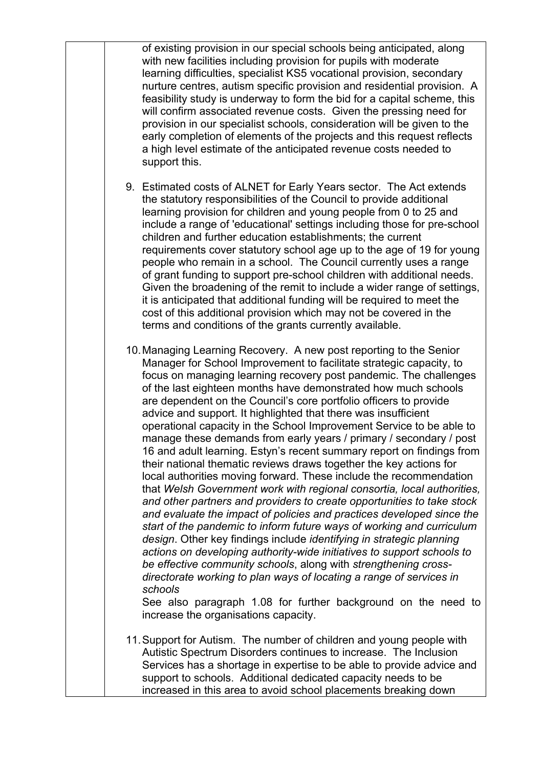of existing provision in our special schools being anticipated, along with new facilities including provision for pupils with moderate learning difficulties, specialist KS5 vocational provision, secondary nurture centres, autism specific provision and residential provision. A feasibility study is underway to form the bid for a capital scheme, this will confirm associated revenue costs. Given the pressing need for provision in our specialist schools, consideration will be given to the early completion of elements of the projects and this request reflects a high level estimate of the anticipated revenue costs needed to support this. 9. Estimated costs of ALNET for Early Years sector. The Act extends the statutory responsibilities of the Council to provide additional learning provision for children and young people from 0 to 25 and include a range of 'educational' settings including those for pre-school children and further education establishments; the current requirements cover statutory school age up to the age of 19 for young people who remain in a school. The Council currently uses a range of grant funding to support pre-school children with additional needs. Given the broadening of the remit to include a wider range of settings, it is anticipated that additional funding will be required to meet the cost of this additional provision which may not be covered in the terms and conditions of the grants currently available. 10.Managing Learning Recovery. A new post reporting to the Senior Manager for School Improvement to facilitate strategic capacity, to focus on managing learning recovery post pandemic. The challenges of the last eighteen months have demonstrated how much schools are dependent on the Council's core portfolio officers to provide advice and support. It highlighted that there was insufficient operational capacity in the School Improvement Service to be able to manage these demands from early years / primary / secondary / post 16 and adult learning. Estyn's recent summary report on findings from their national thematic reviews draws together the key actions for local authorities moving forward. These include the recommendation that *Welsh Government work with regional consortia, local authorities, and other partners and providers to create opportunities to take stock and evaluate the impact of policies and practices developed since the start of the pandemic to inform future ways of working and curriculum design*. Other key findings include *identifying in strategic planning actions on developing authority-wide initiatives to support schools to be effective community schools*, along with *strengthening crossdirectorate working to plan ways of locating a range of services in schools*  See also paragraph 1.08 for further background on the need to increase the organisations capacity. 11.Support for Autism. The number of children and young people with Autistic Spectrum Disorders continues to increase. The Inclusion

Services has a shortage in expertise to be able to provide advice and

support to schools. Additional dedicated capacity needs to be increased in this area to avoid school placements breaking down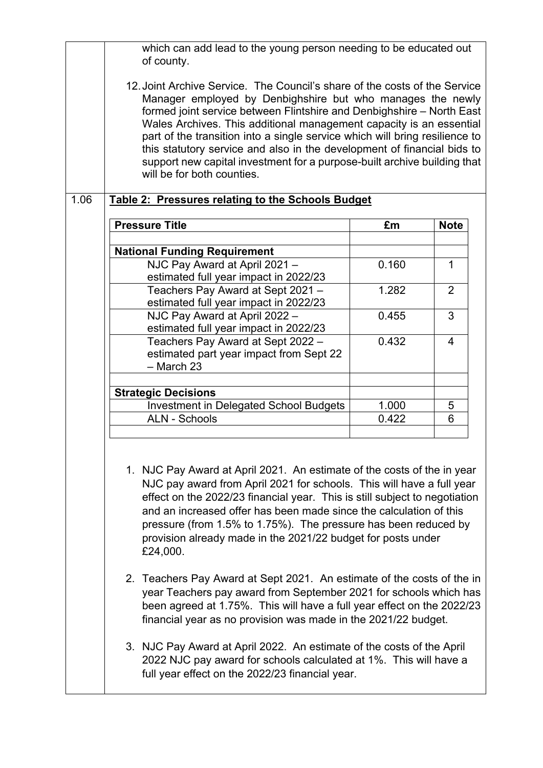which can add lead to the young person needing to be educated out of county. 12.Joint Archive Service. The Council's share of the costs of the Service Manager employed by Denbighshire but who manages the newly formed joint service between Flintshire and Denbighshire – North East Wales Archives. This additional management capacity is an essential part of the transition into a single service which will bring resilience to this statutory service and also in the development of financial bids to support new capital investment for a purpose-built archive building that will be for both counties. 1.06 **Table 2: Pressures relating to the Schools Budget Pressure Title £m Note National Funding Requirement**  NJC Pay Award at April 2021 – estimated full year impact in 2022/23  $0.160$  | 1 Teachers Pay Award at Sept 2021 – estimated full year impact in 2022/23  $1.282$  2 NJC Pay Award at April 2022 – estimated full year impact in 2022/23  $0.455$  3 Teachers Pay Award at Sept 2022 – estimated part year impact from Sept 22 – March 23  $0.432 \qquad \qquad \begin{array}{|c|c|} \hline 4.432 \qquad \qquad \end{array}$ **Strategic Decisions** Investment in Delegated School Budgets | 1.000 | 5 ALN - Schools **0.422** 6 1. NJC Pay Award at April 2021. An estimate of the costs of the in year NJC pay award from April 2021 for schools. This will have a full year effect on the 2022/23 financial year. This is still subject to negotiation and an increased offer has been made since the calculation of this pressure (from 1.5% to 1.75%). The pressure has been reduced by provision already made in the 2021/22 budget for posts under £24,000. 2. Teachers Pay Award at Sept 2021. An estimate of the costs of the in year Teachers pay award from September 2021 for schools which has been agreed at 1.75%. This will have a full year effect on the 2022/23 financial year as no provision was made in the 2021/22 budget. 3. NJC Pay Award at April 2022. An estimate of the costs of the April 2022 NJC pay award for schools calculated at 1%. This will have a full year effect on the 2022/23 financial year.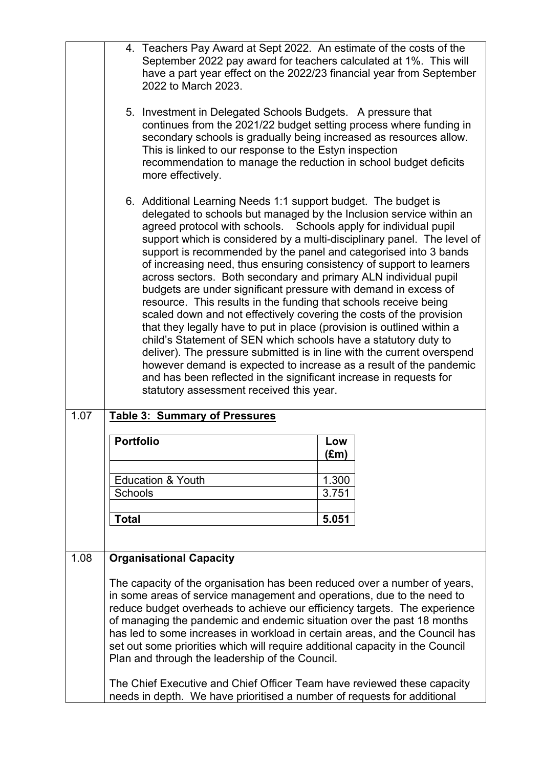|      |                  | 4. Teachers Pay Award at Sept 2022. An estimate of the costs of the<br>September 2022 pay award for teachers calculated at 1%. This will<br>have a part year effect on the 2022/23 financial year from September<br>2022 to March 2023.                                                                                                                                                                                                                                                                                                                                                                                                                                                                                                                                                                                                                                                                                                                                                                                                                                                                                          |             |  |
|------|------------------|----------------------------------------------------------------------------------------------------------------------------------------------------------------------------------------------------------------------------------------------------------------------------------------------------------------------------------------------------------------------------------------------------------------------------------------------------------------------------------------------------------------------------------------------------------------------------------------------------------------------------------------------------------------------------------------------------------------------------------------------------------------------------------------------------------------------------------------------------------------------------------------------------------------------------------------------------------------------------------------------------------------------------------------------------------------------------------------------------------------------------------|-------------|--|
|      |                  | 5. Investment in Delegated Schools Budgets. A pressure that<br>continues from the 2021/22 budget setting process where funding in<br>secondary schools is gradually being increased as resources allow.<br>This is linked to our response to the Estyn inspection<br>recommendation to manage the reduction in school budget deficits<br>more effectively.                                                                                                                                                                                                                                                                                                                                                                                                                                                                                                                                                                                                                                                                                                                                                                       |             |  |
|      |                  | 6. Additional Learning Needs 1:1 support budget. The budget is<br>delegated to schools but managed by the Inclusion service within an<br>agreed protocol with schools. Schools apply for individual pupil<br>support which is considered by a multi-disciplinary panel. The level of<br>support is recommended by the panel and categorised into 3 bands<br>of increasing need, thus ensuring consistency of support to learners<br>across sectors. Both secondary and primary ALN individual pupil<br>budgets are under significant pressure with demand in excess of<br>resource. This results in the funding that schools receive being<br>scaled down and not effectively covering the costs of the provision<br>that they legally have to put in place (provision is outlined within a<br>child's Statement of SEN which schools have a statutory duty to<br>deliver). The pressure submitted is in line with the current overspend<br>however demand is expected to increase as a result of the pandemic<br>and has been reflected in the significant increase in requests for<br>statutory assessment received this year. |             |  |
| 1.07 |                  | <b>Table 3: Summary of Pressures</b>                                                                                                                                                                                                                                                                                                                                                                                                                                                                                                                                                                                                                                                                                                                                                                                                                                                                                                                                                                                                                                                                                             |             |  |
|      | <b>Portfolio</b> |                                                                                                                                                                                                                                                                                                                                                                                                                                                                                                                                                                                                                                                                                                                                                                                                                                                                                                                                                                                                                                                                                                                                  | Low<br>(£m) |  |
|      |                  | <b>Education &amp; Youth</b>                                                                                                                                                                                                                                                                                                                                                                                                                                                                                                                                                                                                                                                                                                                                                                                                                                                                                                                                                                                                                                                                                                     | 1.300       |  |
|      | <b>Schools</b>   |                                                                                                                                                                                                                                                                                                                                                                                                                                                                                                                                                                                                                                                                                                                                                                                                                                                                                                                                                                                                                                                                                                                                  | 3.751       |  |
|      | <b>Total</b>     |                                                                                                                                                                                                                                                                                                                                                                                                                                                                                                                                                                                                                                                                                                                                                                                                                                                                                                                                                                                                                                                                                                                                  | 5.051       |  |
| 1.08 |                  | <b>Organisational Capacity</b>                                                                                                                                                                                                                                                                                                                                                                                                                                                                                                                                                                                                                                                                                                                                                                                                                                                                                                                                                                                                                                                                                                   |             |  |
|      |                  | The capacity of the organisation has been reduced over a number of years,<br>in some areas of service management and operations, due to the need to<br>reduce budget overheads to achieve our efficiency targets. The experience<br>of managing the pandemic and endemic situation over the past 18 months<br>has led to some increases in workload in certain areas, and the Council has<br>set out some priorities which will require additional capacity in the Council<br>Plan and through the leadership of the Council.<br>The Chief Executive and Chief Officer Team have reviewed these capacity<br>needs in depth. We have prioritised a number of requests for additional                                                                                                                                                                                                                                                                                                                                                                                                                                              |             |  |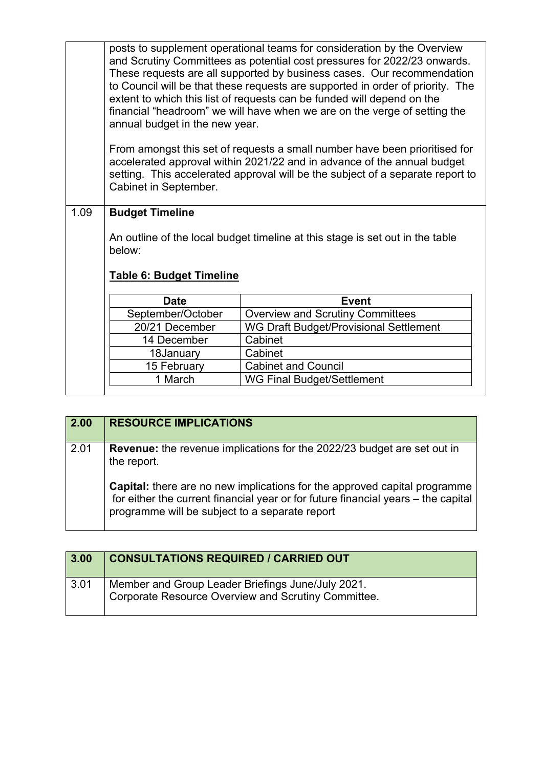posts to supplement operational teams for consideration by the Overview and Scrutiny Committees as potential cost pressures for 2022/23 onwards. These requests are all supported by business cases. Our recommendation to Council will be that these requests are supported in order of priority. The extent to which this list of requests can be funded will depend on the financial "headroom" we will have when we are on the verge of setting the annual budget in the new year.

From amongst this set of requests a small number have been prioritised for accelerated approval within 2021/22 and in advance of the annual budget setting. This accelerated approval will be the subject of a separate report to Cabinet in September.

### 1.09 **Budget Timeline**

An outline of the local budget timeline at this stage is set out in the table below:

### **Table 6: Budget Timeline**

| <b>Date</b>       | Event                                   |
|-------------------|-----------------------------------------|
| September/October | <b>Overview and Scrutiny Committees</b> |
| 20/21 December    | WG Draft Budget/Provisional Settlement  |
| 14 December       | Cabinet                                 |
| 18January         | Cabinet                                 |
| 15 February       | <b>Cabinet and Council</b>              |
| 1 March           | <b>WG Final Budget/Settlement</b>       |

| 2.00 | <b>RESOURCE IMPLICATIONS</b>                                                                                                                                                                                            |
|------|-------------------------------------------------------------------------------------------------------------------------------------------------------------------------------------------------------------------------|
| 2.01 | <b>Revenue:</b> the revenue implications for the 2022/23 budget are set out in<br>the report.                                                                                                                           |
|      | <b>Capital:</b> there are no new implications for the approved capital programme<br>for either the current financial year or for future financial years – the capital<br>programme will be subject to a separate report |

| 3.00         | <b>CONSULTATIONS REQUIRED / CARRIED OUT</b>                                                              |
|--------------|----------------------------------------------------------------------------------------------------------|
| $\vert$ 3.01 | Member and Group Leader Briefings June/July 2021.<br>Corporate Resource Overview and Scrutiny Committee. |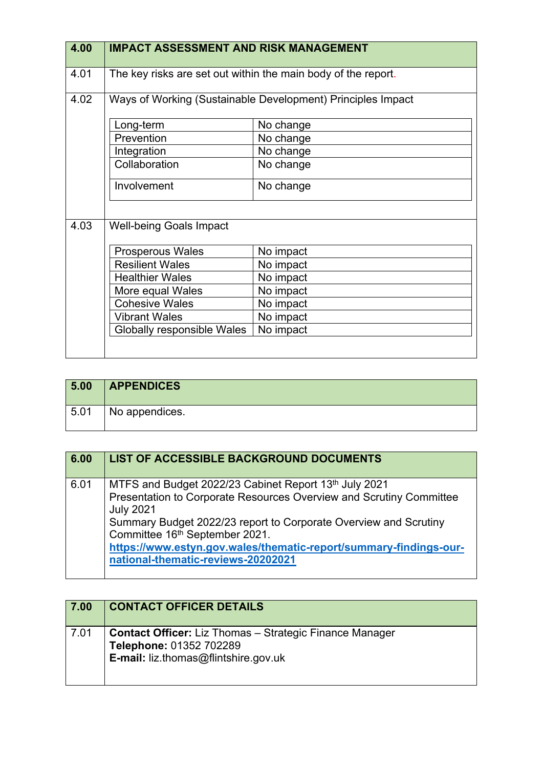| 4.00 | <b>IMPACT ASSESSMENT AND RISK MANAGEMENT</b>                |                                                               |  |
|------|-------------------------------------------------------------|---------------------------------------------------------------|--|
| 4.01 |                                                             | The key risks are set out within the main body of the report. |  |
| 4.02 | Ways of Working (Sustainable Development) Principles Impact |                                                               |  |
|      | Long-term                                                   | No change                                                     |  |
|      | Prevention                                                  | No change                                                     |  |
|      | Integration                                                 | No change                                                     |  |
|      | Collaboration                                               | No change                                                     |  |
|      | Involvement                                                 | No change                                                     |  |
| 4.03 | <b>Well-being Goals Impact</b>                              |                                                               |  |
|      | <b>Prosperous Wales</b>                                     | No impact                                                     |  |
|      | <b>Resilient Wales</b>                                      | No impact                                                     |  |
|      | <b>Healthier Wales</b>                                      | No impact                                                     |  |
|      | More equal Wales                                            | No impact                                                     |  |
|      | <b>Cohesive Wales</b>                                       | No impact                                                     |  |
|      | <b>Vibrant Wales</b>                                        | No impact                                                     |  |
|      | Globally responsible Wales                                  | No impact                                                     |  |
|      |                                                             |                                                               |  |

| 5.00 | <b>APPENDICES</b> |
|------|-------------------|
| 5.01 | No appendices.    |

| 6.00 | <b>LIST OF ACCESSIBLE BACKGROUND DOCUMENTS</b>                                                                                                                                                                                                                                                                                                                    |
|------|-------------------------------------------------------------------------------------------------------------------------------------------------------------------------------------------------------------------------------------------------------------------------------------------------------------------------------------------------------------------|
| 6.01 | MTFS and Budget 2022/23 Cabinet Report 13th July 2021<br>Presentation to Corporate Resources Overview and Scrutiny Committee<br><b>July 2021</b><br>Summary Budget 2022/23 report to Corporate Overview and Scrutiny<br>Committee 16th September 2021.<br>https://www.estyn.gov.wales/thematic-report/summary-findings-our-<br>national-thematic-reviews-20202021 |

| 7.00 | <b>CONTACT OFFICER DETAILS</b>                                                                                                           |
|------|------------------------------------------------------------------------------------------------------------------------------------------|
| 7.01 | <b>Contact Officer:</b> Liz Thomas – Strategic Finance Manager<br>Telephone: 01352 702289<br><b>E-mail:</b> liz.thomas@flintshire.gov.uk |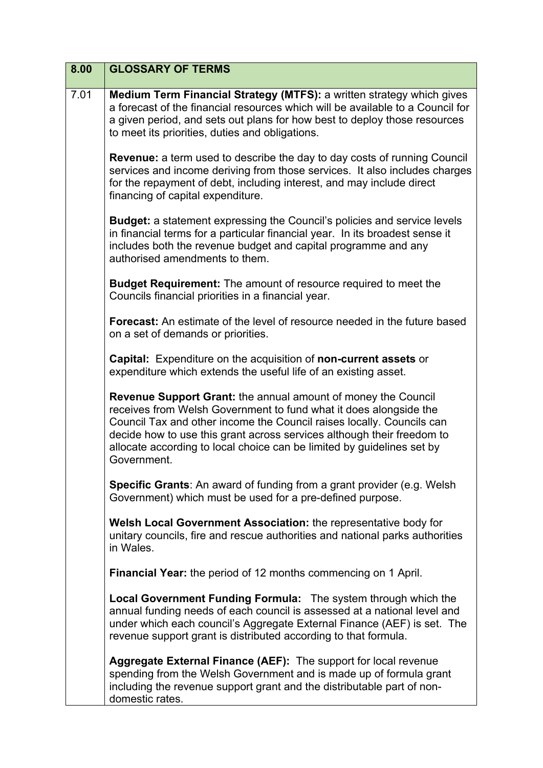| 8.00 | <b>GLOSSARY OF TERMS</b>                                                                                                                                                                                                                                                                                                                                                       |
|------|--------------------------------------------------------------------------------------------------------------------------------------------------------------------------------------------------------------------------------------------------------------------------------------------------------------------------------------------------------------------------------|
| 7.01 | Medium Term Financial Strategy (MTFS): a written strategy which gives<br>a forecast of the financial resources which will be available to a Council for<br>a given period, and sets out plans for how best to deploy those resources<br>to meet its priorities, duties and obligations.                                                                                        |
|      | <b>Revenue:</b> a term used to describe the day to day costs of running Council<br>services and income deriving from those services. It also includes charges<br>for the repayment of debt, including interest, and may include direct<br>financing of capital expenditure.                                                                                                    |
|      | <b>Budget:</b> a statement expressing the Council's policies and service levels<br>in financial terms for a particular financial year. In its broadest sense it<br>includes both the revenue budget and capital programme and any<br>authorised amendments to them.                                                                                                            |
|      | <b>Budget Requirement:</b> The amount of resource required to meet the<br>Councils financial priorities in a financial year.                                                                                                                                                                                                                                                   |
|      | <b>Forecast:</b> An estimate of the level of resource needed in the future based<br>on a set of demands or priorities.                                                                                                                                                                                                                                                         |
|      | <b>Capital:</b> Expenditure on the acquisition of <b>non-current assets</b> or<br>expenditure which extends the useful life of an existing asset.                                                                                                                                                                                                                              |
|      | Revenue Support Grant: the annual amount of money the Council<br>receives from Welsh Government to fund what it does alongside the<br>Council Tax and other income the Council raises locally. Councils can<br>decide how to use this grant across services although their freedom to<br>allocate according to local choice can be limited by guidelines set by<br>Government. |
|      | <b>Specific Grants:</b> An award of funding from a grant provider (e.g. Welsh<br>Government) which must be used for a pre-defined purpose.                                                                                                                                                                                                                                     |
|      | Welsh Local Government Association: the representative body for<br>unitary councils, fire and rescue authorities and national parks authorities<br>in Wales.                                                                                                                                                                                                                   |
|      | <b>Financial Year:</b> the period of 12 months commencing on 1 April.                                                                                                                                                                                                                                                                                                          |
|      | <b>Local Government Funding Formula:</b> The system through which the<br>annual funding needs of each council is assessed at a national level and<br>under which each council's Aggregate External Finance (AEF) is set. The<br>revenue support grant is distributed according to that formula.                                                                                |
|      | Aggregate External Finance (AEF): The support for local revenue<br>spending from the Welsh Government and is made up of formula grant<br>including the revenue support grant and the distributable part of non-<br>domestic rates.                                                                                                                                             |